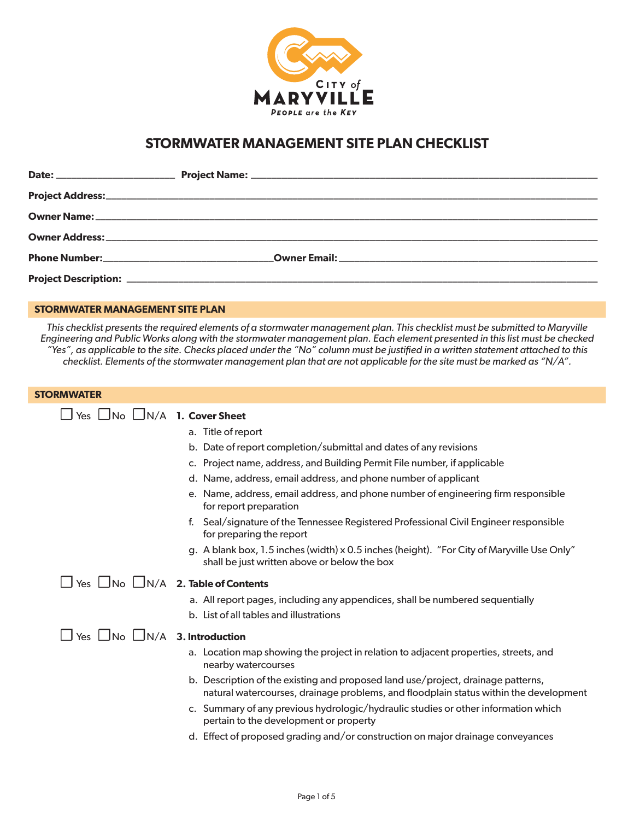

## **STORMWATER MANAGEMENT SITE PLAN CHECKLIST**

## **STORMWATER MANAGEMENT SITE PLAN**

*This checklist presents the required elements of a stormwater management plan. This checklist must be submitted to Maryville Engineering and Public Works along with the stormwater management plan. Each element presented in this list must be checked "Yes", as applicable to the site. Checks placed under the "No" column must be justified in a written statement attached to this checklist. Elements of the stormwater management plan that are not applicable for the site must be marked as "N/A".*

| <b>STORMWATER</b>                                    |                                                                                                                                                                           |
|------------------------------------------------------|---------------------------------------------------------------------------------------------------------------------------------------------------------------------------|
| $\Box$ Yes $\Box$ No $\Box$ N/A 1. Cover Sheet       |                                                                                                                                                                           |
|                                                      | a. Title of report                                                                                                                                                        |
|                                                      | b. Date of report completion/submittal and dates of any revisions                                                                                                         |
|                                                      | c. Project name, address, and Building Permit File number, if applicable                                                                                                  |
|                                                      | d. Name, address, email address, and phone number of applicant                                                                                                            |
|                                                      | e. Name, address, email address, and phone number of engineering firm responsible<br>for report preparation                                                               |
|                                                      | f. Seal/signature of the Tennessee Registered Professional Civil Engineer responsible<br>for preparing the report                                                         |
|                                                      | g. A blank box, 1.5 inches (width) x 0.5 inches (height). "For City of Maryville Use Only"<br>shall be just written above or below the box                                |
| $\Box$ Yes $\Box$ No $\Box$ N/A 2. Table of Contents |                                                                                                                                                                           |
|                                                      | a. All report pages, including any appendices, shall be numbered sequentially                                                                                             |
|                                                      | b. List of all tables and illustrations                                                                                                                                   |
| $\Box$ Yes $\Box$ No $\Box$ N/A 3. Introduction      |                                                                                                                                                                           |
|                                                      | a. Location map showing the project in relation to adjacent properties, streets, and<br>nearby watercourses                                                               |
|                                                      | b. Description of the existing and proposed land use/project, drainage patterns,<br>natural watercourses, drainage problems, and floodplain status within the development |
|                                                      | c. Summary of any previous hydrologic/hydraulic studies or other information which<br>pertain to the development or property                                              |
|                                                      | d. Effect of proposed grading and/or construction on major drainage conveyances                                                                                           |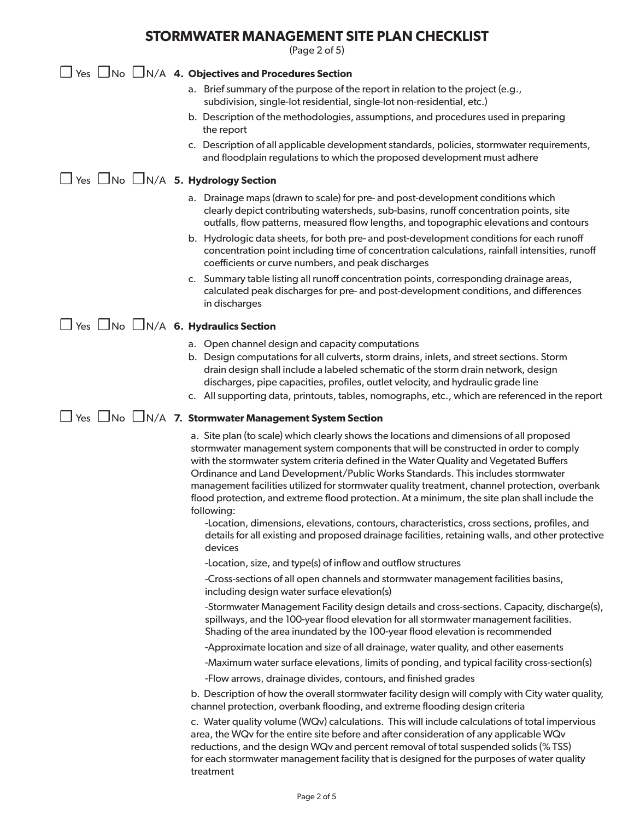| STORMWATER MANAGEMENT SITE PLAN CHECKLIST<br>(Page 2 of 5) |                                                                                                                                                                                                                                                                                                                                                                                                                                                                                                                                                                              |  |
|------------------------------------------------------------|------------------------------------------------------------------------------------------------------------------------------------------------------------------------------------------------------------------------------------------------------------------------------------------------------------------------------------------------------------------------------------------------------------------------------------------------------------------------------------------------------------------------------------------------------------------------------|--|
|                                                            | $\Box$ Yes $\Box$ No $\Box$ N/A 4. Objectives and Procedures Section                                                                                                                                                                                                                                                                                                                                                                                                                                                                                                         |  |
|                                                            | a. Brief summary of the purpose of the report in relation to the project (e.g.,<br>subdivision, single-lot residential, single-lot non-residential, etc.)                                                                                                                                                                                                                                                                                                                                                                                                                    |  |
|                                                            | b. Description of the methodologies, assumptions, and procedures used in preparing<br>the report                                                                                                                                                                                                                                                                                                                                                                                                                                                                             |  |
|                                                            | c. Description of all applicable development standards, policies, stormwater requirements,<br>and floodplain regulations to which the proposed development must adhere                                                                                                                                                                                                                                                                                                                                                                                                       |  |
| $\Box$ Yes $\Box$ No $\Box$ N/A 5. Hydrology Section       |                                                                                                                                                                                                                                                                                                                                                                                                                                                                                                                                                                              |  |
|                                                            | a. Drainage maps (drawn to scale) for pre- and post-development conditions which<br>clearly depict contributing watersheds, sub-basins, runoff concentration points, site<br>outfalls, flow patterns, measured flow lengths, and topographic elevations and contours                                                                                                                                                                                                                                                                                                         |  |
|                                                            | b. Hydrologic data sheets, for both pre- and post-development conditions for each runoff<br>concentration point including time of concentration calculations, rainfall intensities, runoff<br>coefficients or curve numbers, and peak discharges                                                                                                                                                                                                                                                                                                                             |  |
|                                                            | c. Summary table listing all runoff concentration points, corresponding drainage areas,<br>calculated peak discharges for pre- and post-development conditions, and differences<br>in discharges                                                                                                                                                                                                                                                                                                                                                                             |  |
| $\Box$ Yes $\Box$ No $\Box$ N/A 6. Hydraulics Section      |                                                                                                                                                                                                                                                                                                                                                                                                                                                                                                                                                                              |  |
|                                                            | a. Open channel design and capacity computations<br>b. Design computations for all culverts, storm drains, inlets, and street sections. Storm<br>drain design shall include a labeled schematic of the storm drain network, design<br>discharges, pipe capacities, profiles, outlet velocity, and hydraulic grade line<br>c. All supporting data, printouts, tables, nomographs, etc., which are referenced in the report                                                                                                                                                    |  |
|                                                            | $\Box$ Yes $\Box$ No $\Box$ N/A 7. Stormwater Management System Section                                                                                                                                                                                                                                                                                                                                                                                                                                                                                                      |  |
|                                                            | a. Site plan (to scale) which clearly shows the locations and dimensions of all proposed<br>stormwater management system components that will be constructed in order to comply<br>with the stormwater system criteria defined in the Water Quality and Vegetated Buffers<br>Ordinance and Land Development/Public Works Standards. This includes stormwater<br>management facilities utilized for stormwater quality treatment, channel protection, overbank<br>flood protection, and extreme flood protection. At a minimum, the site plan shall include the<br>following: |  |
|                                                            | -Location, dimensions, elevations, contours, characteristics, cross sections, profiles, and<br>details for all existing and proposed drainage facilities, retaining walls, and other protective<br>devices                                                                                                                                                                                                                                                                                                                                                                   |  |
|                                                            | -Location, size, and type(s) of inflow and outflow structures                                                                                                                                                                                                                                                                                                                                                                                                                                                                                                                |  |
|                                                            | -Cross-sections of all open channels and stormwater management facilities basins,<br>including design water surface elevation(s)                                                                                                                                                                                                                                                                                                                                                                                                                                             |  |
|                                                            | -Stormwater Management Facility design details and cross-sections. Capacity, discharge(s),<br>spillways, and the 100-year flood elevation for all stormwater management facilities.<br>Shading of the area inundated by the 100-year flood elevation is recommended                                                                                                                                                                                                                                                                                                          |  |
|                                                            | -Approximate location and size of all drainage, water quality, and other easements                                                                                                                                                                                                                                                                                                                                                                                                                                                                                           |  |
|                                                            | -Maximum water surface elevations, limits of ponding, and typical facility cross-section(s)                                                                                                                                                                                                                                                                                                                                                                                                                                                                                  |  |
|                                                            | -Flow arrows, drainage divides, contours, and finished grades                                                                                                                                                                                                                                                                                                                                                                                                                                                                                                                |  |
|                                                            | b. Description of how the overall stormwater facility design will comply with City water quality,<br>channel protection, overbank flooding, and extreme flooding design criteria                                                                                                                                                                                                                                                                                                                                                                                             |  |
|                                                            | c. Water quality volume (WQv) calculations. This will include calculations of total impervious<br>area, the WQv for the entire site before and after consideration of any applicable WQv<br>reductions, and the design WQv and percent removal of total suspended solids (% TSS)<br>for each stormwater management facility that is designed for the purposes of water quality<br>treatment                                                                                                                                                                                  |  |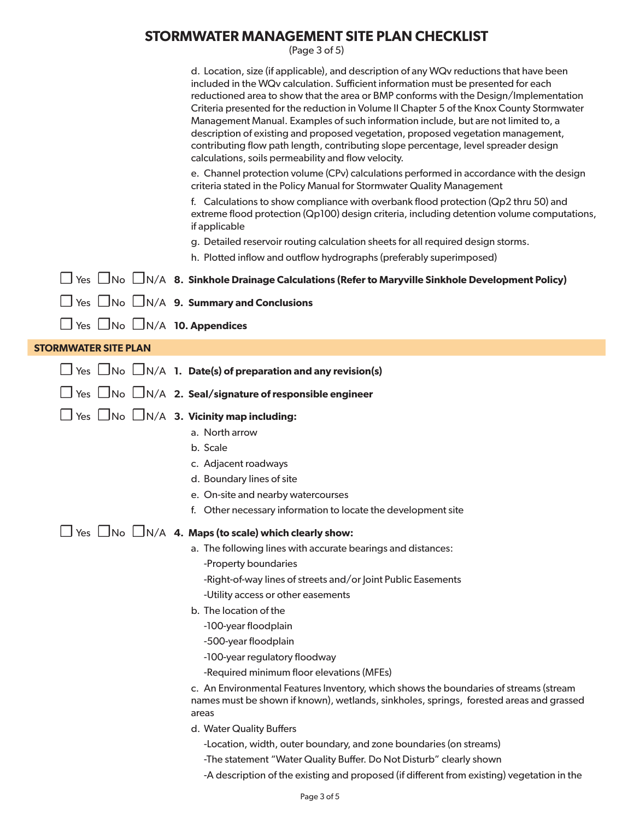(Page 3 of 5)

|                                                       | d. Location, size (if applicable), and description of any WQv reductions that have been<br>included in the WQv calculation. Sufficient information must be presented for each<br>reductioned area to show that the area or BMP conforms with the Design/Implementation<br>Criteria presented for the reduction in Volume II Chapter 5 of the Knox County Stormwater<br>Management Manual. Examples of such information include, but are not limited to, a<br>description of existing and proposed vegetation, proposed vegetation management,<br>contributing flow path length, contributing slope percentage, level spreader design<br>calculations, soils permeability and flow velocity.<br>e. Channel protection volume (CPv) calculations performed in accordance with the design<br>criteria stated in the Policy Manual for Stormwater Quality Management<br>f. Calculations to show compliance with overbank flood protection (Qp2 thru 50) and<br>extreme flood protection (Qp100) design criteria, including detention volume computations,<br>if applicable<br>g. Detailed reservoir routing calculation sheets for all required design storms.<br>h. Plotted inflow and outflow hydrographs (preferably superimposed) |
|-------------------------------------------------------|-----------------------------------------------------------------------------------------------------------------------------------------------------------------------------------------------------------------------------------------------------------------------------------------------------------------------------------------------------------------------------------------------------------------------------------------------------------------------------------------------------------------------------------------------------------------------------------------------------------------------------------------------------------------------------------------------------------------------------------------------------------------------------------------------------------------------------------------------------------------------------------------------------------------------------------------------------------------------------------------------------------------------------------------------------------------------------------------------------------------------------------------------------------------------------------------------------------------------------------|
|                                                       | $\Box$ Yes $\Box$ No $\Box$ N/A $\,$ 8. Sinkhole Drainage Calculations (Refer to Maryville Sinkhole Development Policy)                                                                                                                                                                                                                                                                                                                                                                                                                                                                                                                                                                                                                                                                                                                                                                                                                                                                                                                                                                                                                                                                                                           |
|                                                       | $\Box$ Yes $\Box$ No $\Box$ N/A 9. Summary and Conclusions                                                                                                                                                                                                                                                                                                                                                                                                                                                                                                                                                                                                                                                                                                                                                                                                                                                                                                                                                                                                                                                                                                                                                                        |
| $\Box$ Yes $\Box$ No $\Box$ N/A <b>10. Appendices</b> |                                                                                                                                                                                                                                                                                                                                                                                                                                                                                                                                                                                                                                                                                                                                                                                                                                                                                                                                                                                                                                                                                                                                                                                                                                   |
| <b>STORMWATER SITE PLAN</b>                           |                                                                                                                                                                                                                                                                                                                                                                                                                                                                                                                                                                                                                                                                                                                                                                                                                                                                                                                                                                                                                                                                                                                                                                                                                                   |
|                                                       | $\Box$ Yes $\Box$ No $\Box$ N/A 1. Date(s) of preparation and any revision(s)                                                                                                                                                                                                                                                                                                                                                                                                                                                                                                                                                                                                                                                                                                                                                                                                                                                                                                                                                                                                                                                                                                                                                     |
|                                                       | $\Box$ Yes $\Box$ No $\Box$ N/A 2. Seal/signature of responsible engineer                                                                                                                                                                                                                                                                                                                                                                                                                                                                                                                                                                                                                                                                                                                                                                                                                                                                                                                                                                                                                                                                                                                                                         |
|                                                       | $\Box$ Yes $\Box$ No $\Box$ N/A 3. Vicinity map including:<br>a. North arrow<br>b. Scale<br>c. Adjacent roadways<br>d. Boundary lines of site<br>e. On-site and nearby watercourses<br>f. Other necessary information to locate the development site                                                                                                                                                                                                                                                                                                                                                                                                                                                                                                                                                                                                                                                                                                                                                                                                                                                                                                                                                                              |
|                                                       | Yes $\Box$ No $\Box$ N/A 4. Maps (to scale) which clearly show:<br>a. The following lines with accurate bearings and distances:<br>-Property boundaries<br>-Right-of-way lines of streets and/or Joint Public Easements<br>-Utility access or other easements<br>b. The location of the<br>-100-year floodplain<br>-500-year floodplain<br>-100-year regulatory floodway<br>-Required minimum floor elevations (MFEs)<br>c. An Environmental Features Inventory, which shows the boundaries of streams (stream<br>names must be shown if known), wetlands, sinkholes, springs, forested areas and grassed<br>areas<br>d. Water Quality Buffers<br>-Location, width, outer boundary, and zone boundaries (on streams)<br>-The statement "Water Quality Buffer. Do Not Disturb" clearly shown<br>-A description of the existing and proposed (if different from existing) vegetation in the                                                                                                                                                                                                                                                                                                                                         |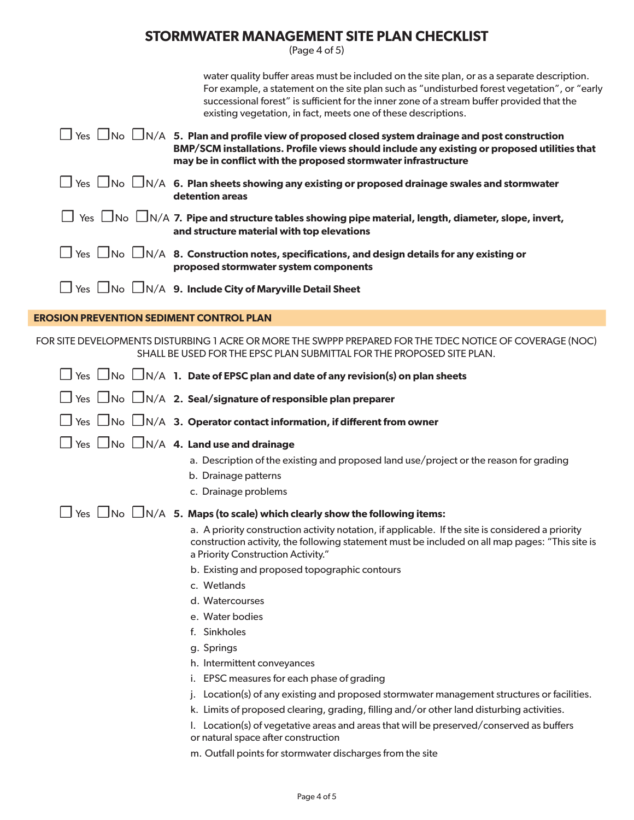| STORMWATER MANAGEMENT SITE PLAN CHECKLIST<br>(Page 4 of 5) |                                                                                                                                                                                                                                                                                                                                                             |  |
|------------------------------------------------------------|-------------------------------------------------------------------------------------------------------------------------------------------------------------------------------------------------------------------------------------------------------------------------------------------------------------------------------------------------------------|--|
|                                                            | water quality buffer areas must be included on the site plan, or as a separate description.<br>For example, a statement on the site plan such as "undisturbed forest vegetation", or "early<br>successional forest" is sufficient for the inner zone of a stream buffer provided that the<br>existing vegetation, in fact, meets one of these descriptions. |  |
|                                                            | $\Box$ Yes $\Box$ No $\Box$ N/A 5. Plan and profile view of proposed closed system drainage and post construction<br>BMP/SCM installations. Profile views should include any existing or proposed utilities that<br>may be in conflict with the proposed stormwater infrastructure                                                                          |  |
|                                                            | $\Box$ Yes $\Box$ No $\Box$ N/A $\,$ 6. Plan sheets showing any existing or proposed drainage swales and stormwater<br>detention areas                                                                                                                                                                                                                      |  |
|                                                            | $\Box$ Yes $\Box$ No $\Box$ N/A 7. Pipe and structure tables showing pipe material, length, diameter, slope, invert,<br>and structure material with top elevations                                                                                                                                                                                          |  |
|                                                            | $\Box$ Yes $\Box$ No $\Box$ N/A 8. Construction notes, specifications, and design details for any existing or<br>proposed stormwater system components                                                                                                                                                                                                      |  |
|                                                            | $\Box$ Yes $\Box$ No $\Box$ N/A 9. Include City of Maryville Detail Sheet                                                                                                                                                                                                                                                                                   |  |
| <b>EROSION PREVENTION SEDIMENT CONTROL PLAN</b>            |                                                                                                                                                                                                                                                                                                                                                             |  |
|                                                            | FOR SITE DEVELOPMENTS DISTURBING 1 ACRE OR MORE THE SWPPP PREPARED FOR THE TDEC NOTICE OF COVERAGE (NOC)<br>SHALL BE USED FOR THE EPSC PLAN SUBMITTAL FOR THE PROPOSED SITE PLAN.                                                                                                                                                                           |  |
|                                                            | $\Box$ Yes $\Box$ No $\Box$ N/A $\,$ 1. Date of EPSC plan and date of any revision(s) on plan sheets                                                                                                                                                                                                                                                        |  |
|                                                            | $\Box$ Yes $\Box$ No $\Box$ N/A 2. Seal/signature of responsible plan preparer                                                                                                                                                                                                                                                                              |  |
|                                                            | $\Box$ Yes $\Box$ No $\Box$ N/A 3. Operator contact information, if different from owner                                                                                                                                                                                                                                                                    |  |
|                                                            | $\Box$ Yes $\Box$ No $\Box$ N/A 4. Land use and drainage                                                                                                                                                                                                                                                                                                    |  |
|                                                            | a. Description of the existing and proposed land use/project or the reason for grading                                                                                                                                                                                                                                                                      |  |
|                                                            | b. Drainage patterns                                                                                                                                                                                                                                                                                                                                        |  |
|                                                            | c. Drainage problems                                                                                                                                                                                                                                                                                                                                        |  |
|                                                            | $\Box$ Yes $\Box$ No $\Box$ N/A $\,$ 5. Maps (to scale) which clearly show the following items:                                                                                                                                                                                                                                                             |  |
|                                                            | a. A priority construction activity notation, if applicable. If the site is considered a priority<br>construction activity, the following statement must be included on all map pages: "This site is<br>a Priority Construction Activity."                                                                                                                  |  |
|                                                            | b. Existing and proposed topographic contours                                                                                                                                                                                                                                                                                                               |  |
|                                                            | c. Wetlands                                                                                                                                                                                                                                                                                                                                                 |  |
|                                                            | d. Watercourses<br>e. Water bodies                                                                                                                                                                                                                                                                                                                          |  |
|                                                            | f. Sinkholes                                                                                                                                                                                                                                                                                                                                                |  |
|                                                            | g. Springs                                                                                                                                                                                                                                                                                                                                                  |  |
|                                                            | h. Intermittent conveyances                                                                                                                                                                                                                                                                                                                                 |  |
|                                                            | i. EPSC measures for each phase of grading                                                                                                                                                                                                                                                                                                                  |  |
|                                                            | Location(s) of any existing and proposed stormwater management structures or facilities.                                                                                                                                                                                                                                                                    |  |
|                                                            | k. Limits of proposed clearing, grading, filling and/or other land disturbing activities.                                                                                                                                                                                                                                                                   |  |
|                                                            | I. Location(s) of vegetative areas and areas that will be preserved/conserved as buffers<br>or natural space after construction                                                                                                                                                                                                                             |  |
|                                                            | m. Outfall points for stormwater discharges from the site                                                                                                                                                                                                                                                                                                   |  |